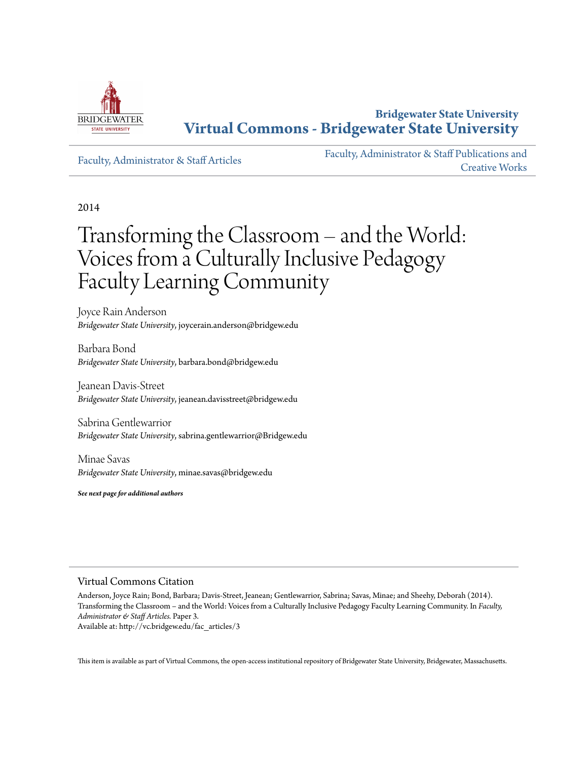

**Bridgewater State University [Virtual Commons - Bridgewater State University](http://vc.bridgew.edu)**

[Faculty, Administrator & Staff Articles](http://vc.bridgew.edu/fac_articles)

[Faculty, Administrator & Staff Publications and](http://vc.bridgew.edu/fac_pubs) [Creative Works](http://vc.bridgew.edu/fac_pubs)

2014

# Transforming the Classroom – and the World: Voices from a Culturally Inclusive Pedagogy Faculty Learning Community

Joyce Rain Anderson *Bridgewater State University*, joycerain.anderson@bridgew.edu

Barbara Bond *Bridgewater State University*, barbara.bond@bridgew.edu

Jeanean Davis-Street *Bridgewater State University*, jeanean.davisstreet@bridgew.edu

Sabrina Gentlewarrior *Bridgewater State University*, sabrina.gentlewarrior@Bridgew.edu

Minae Savas *Bridgewater State University*, minae.savas@bridgew.edu

*See next page for additional authors*

#### Virtual Commons Citation

Anderson, Joyce Rain; Bond, Barbara; Davis-Street, Jeanean; Gentlewarrior, Sabrina; Savas, Minae; and Sheehy, Deborah (2014). Transforming the Classroom – and the World: Voices from a Culturally Inclusive Pedagogy Faculty Learning Community. In *Faculty, Administrator & Staff Articles.* Paper 3.

Available at: http://vc.bridgew.edu/fac\_articles/3

This item is available as part of Virtual Commons, the open-access institutional repository of Bridgewater State University, Bridgewater, Massachusetts.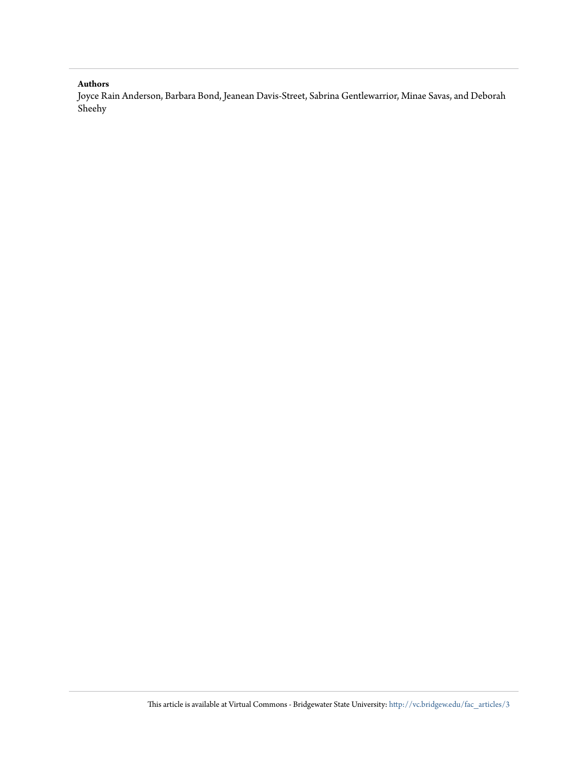#### **Authors**

Joyce Rain Anderson, Barbara Bond, Jeanean Davis-Street, Sabrina Gentlewarrior, Minae Savas, and Deborah Sheehy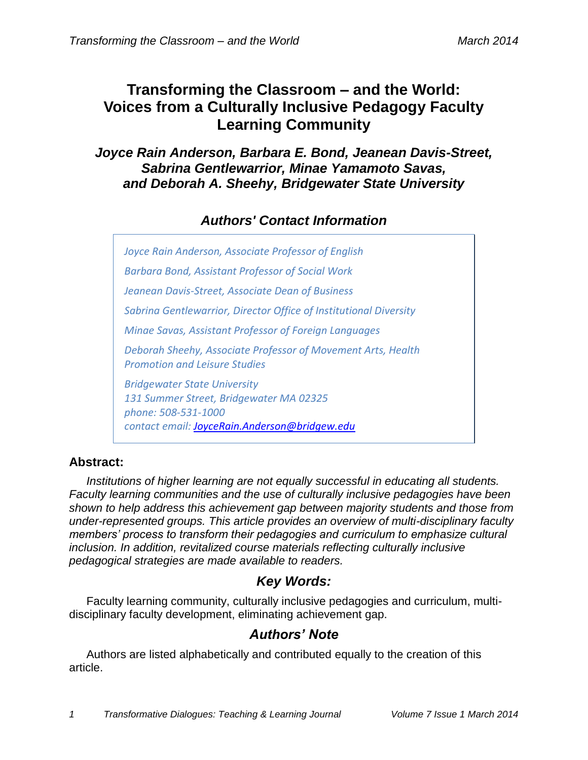# **Transforming the Classroom – and the World: Voices from a Culturally Inclusive Pedagogy Faculty Learning Community**

*Joyce Rain Anderson, Barbara E. Bond, Jeanean Davis-Street, Sabrina Gentlewarrior, Minae Yamamoto Savas, and Deborah A. Sheehy, Bridgewater State University*

## *Authors' Contact Information*

*Joyce Rain Anderson, Associate Professor of English Barbara Bond, Assistant Professor of Social Work Jeanean Davis-Street, Associate Dean of Business Sabrina Gentlewarrior, Director Office of Institutional Diversity Minae Savas, Assistant Professor of Foreign Languages Deborah Sheehy, Associate Professor of Movement Arts, Health Promotion and Leisure Studies Bridgewater State University 131 Summer Street, Bridgewater MA 02325 phone: 508-531-1000 contact email: [JoyceRain.Anderson@bridgew.edu](mailto:JoyceRain.Anderson@bridgew.edu)*

## **Abstract:**

*Institutions of higher learning are not equally successful in educating all students. Faculty learning communities and the use of culturally inclusive pedagogies have been shown to help address this achievement gap between majority students and those from under-represented groups. This article provides an overview of multi-disciplinary faculty members' process to transform their pedagogies and curriculum to emphasize cultural inclusion. In addition, revitalized course materials reflecting culturally inclusive pedagogical strategies are made available to readers.*

## *Key Words:*

Faculty learning community, culturally inclusive pedagogies and curriculum, multidisciplinary faculty development, eliminating achievement gap.

## *Authors' Note*

Authors are listed alphabetically and contributed equally to the creation of this article.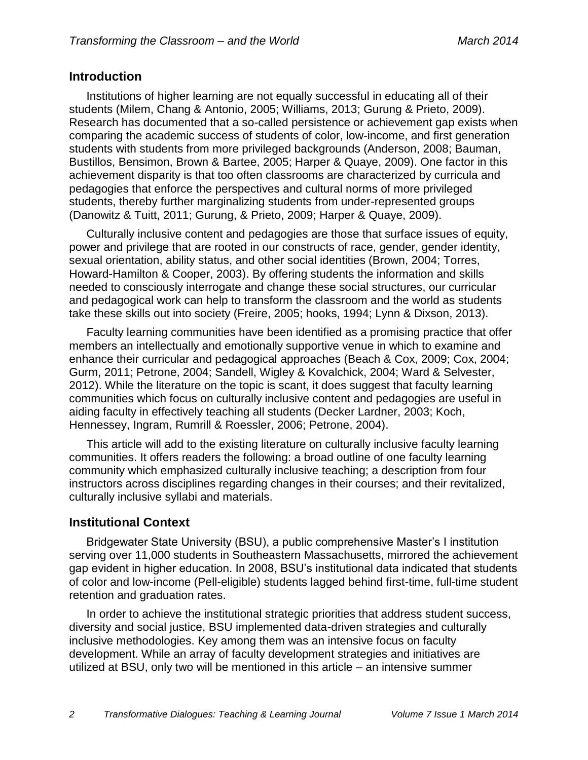#### **Introduction**

Institutions of higher learning are not equally successful in educating all of their students (Milem, Chang & Antonio, 2005; Williams, 2013; Gurung & Prieto, 2009). Research has documented that a so-called persistence or achievement gap exists when comparing the academic success of students of color, low-income, and first generation students with students from more privileged backgrounds (Anderson, 2008; Bauman, Bustillos, Bensimon, Brown & Bartee, 2005; Harper & Quaye, 2009). One factor in this achievement disparity is that too often classrooms are characterized by curricula and pedagogies that enforce the perspectives and cultural norms of more privileged students, thereby further marginalizing students from under-represented groups (Danowitz & Tuitt, 2011; Gurung, & Prieto, 2009; Harper & Quaye, 2009).

Culturally inclusive content and pedagogies are those that surface issues of equity, power and privilege that are rooted in our constructs of race, gender, gender identity, sexual orientation, ability status, and other social identities (Brown, 2004; Torres, Howard-Hamilton & Cooper, 2003). By offering students the information and skills needed to consciously interrogate and change these social structures, our curricular and pedagogical work can help to transform the classroom and the world as students take these skills out into society (Freire, 2005; hooks, 1994; Lynn & Dixson, 2013).

Faculty learning communities have been identified as a promising practice that offer members an intellectually and emotionally supportive venue in which to examine and enhance their curricular and pedagogical approaches (Beach & Cox, 2009; Cox, 2004; Gurm, 2011; Petrone, 2004; Sandell, Wigley & Kovalchick, 2004; Ward & Selvester, 2012). While the literature on the topic is scant, it does suggest that faculty learning communities which focus on culturally inclusive content and pedagogies are useful in aiding faculty in effectively teaching all students (Decker Lardner, 2003; Koch, Hennessey, Ingram, Rumrill & Roessler, 2006; Petrone, 2004).

This article will add to the existing literature on culturally inclusive faculty learning communities. It offers readers the following: a broad outline of one faculty learning community which emphasized culturally inclusive teaching; a description from four instructors across disciplines regarding changes in their courses; and their revitalized, culturally inclusive syllabi and materials.

#### **Institutional Context**

Bridgewater State University (BSU), a public comprehensive Master's I institution serving over 11,000 students in Southeastern Massachusetts, mirrored the achievement gap evident in higher education. In 2008, BSU's institutional data indicated that students of color and low-income (Pell-eligible) students lagged behind first-time, full-time student retention and graduation rates.

In order to achieve the institutional strategic priorities that address student success, diversity and social justice, BSU implemented data-driven strategies and culturally inclusive methodologies. Key among them was an intensive focus on faculty development. While an array of faculty development strategies and initiatives are utilized at BSU, only two will be mentioned in this article – an intensive summer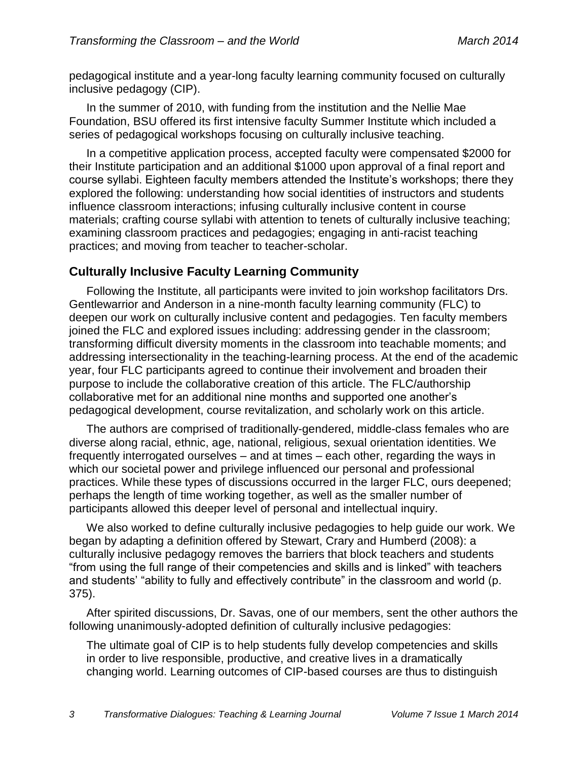pedagogical institute and a year-long faculty learning community focused on culturally inclusive pedagogy (CIP).

In the summer of 2010, with funding from the institution and the Nellie Mae Foundation, BSU offered its first intensive faculty Summer Institute which included a series of pedagogical workshops focusing on culturally inclusive teaching.

In a competitive application process, accepted faculty were compensated \$2000 for their Institute participation and an additional \$1000 upon approval of a final report and course syllabi. Eighteen faculty members attended the Institute's workshops; there they explored the following: understanding how social identities of instructors and students influence classroom interactions; infusing culturally inclusive content in course materials; crafting course syllabi with attention to tenets of culturally inclusive teaching; examining classroom practices and pedagogies; engaging in anti-racist teaching practices; and moving from teacher to teacher-scholar.

## **Culturally Inclusive Faculty Learning Community**

Following the Institute, all participants were invited to join workshop facilitators Drs. Gentlewarrior and Anderson in a nine-month faculty learning community (FLC) to deepen our work on culturally inclusive content and pedagogies. Ten faculty members joined the FLC and explored issues including: addressing gender in the classroom; transforming difficult diversity moments in the classroom into teachable moments; and addressing intersectionality in the teaching-learning process. At the end of the academic year, four FLC participants agreed to continue their involvement and broaden their purpose to include the collaborative creation of this article. The FLC/authorship collaborative met for an additional nine months and supported one another's pedagogical development, course revitalization, and scholarly work on this article.

The authors are comprised of traditionally-gendered, middle-class females who are diverse along racial, ethnic, age, national, religious, sexual orientation identities. We frequently interrogated ourselves – and at times – each other, regarding the ways in which our societal power and privilege influenced our personal and professional practices. While these types of discussions occurred in the larger FLC, ours deepened; perhaps the length of time working together, as well as the smaller number of participants allowed this deeper level of personal and intellectual inquiry.

We also worked to define culturally inclusive pedagogies to help guide our work. We began by adapting a definition offered by Stewart, Crary and Humberd (2008): a culturally inclusive pedagogy removes the barriers that block teachers and students "from using the full range of their competencies and skills and is linked" with teachers and students' "ability to fully and effectively contribute" in the classroom and world (p. 375).

After spirited discussions, Dr. Savas, one of our members, sent the other authors the following unanimously-adopted definition of culturally inclusive pedagogies:

The ultimate goal of CIP is to help students fully develop competencies and skills in order to live responsible, productive, and creative lives in a dramatically changing world. Learning outcomes of CIP-based courses are thus to distinguish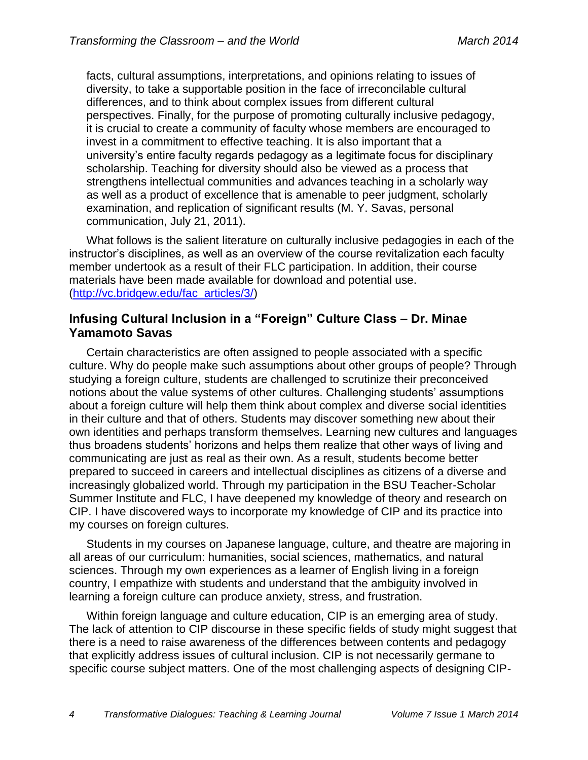facts, cultural assumptions, interpretations, and opinions relating to issues of diversity, to take a supportable position in the face of irreconcilable cultural differences, and to think about complex issues from different cultural perspectives. Finally, for the purpose of promoting culturally inclusive pedagogy, it is crucial to create a community of faculty whose members are encouraged to invest in a commitment to effective teaching. It is also important that a university's entire faculty regards pedagogy as a legitimate focus for disciplinary scholarship. Teaching for diversity should also be viewed as a process that strengthens intellectual communities and advances teaching in a scholarly way as well as a product of excellence that is amenable to peer judgment, scholarly examination, and replication of significant results (M. Y. Savas, personal communication, July 21, 2011).

What follows is the salient literature on culturally inclusive pedagogies in each of the instructor's disciplines, as well as an overview of the course revitalization each faculty member undertook as a result of their FLC participation. In addition, their course materials have been made available for download and potential use. [\(http://vc.bridgew.edu/fac\\_articles/3/\)](http://vc.bridgew.edu/fac_articles/3/)

#### **Infusing Cultural Inclusion in a "Foreign" Culture Class – Dr. Minae Yamamoto Savas**

Certain characteristics are often assigned to people associated with a specific culture. Why do people make such assumptions about other groups of people? Through studying a foreign culture, students are challenged to scrutinize their preconceived notions about the value systems of other cultures. Challenging students' assumptions about a foreign culture will help them think about complex and diverse social identities in their culture and that of others. Students may discover something new about their own identities and perhaps transform themselves. Learning new cultures and languages thus broadens students' horizons and helps them realize that other ways of living and communicating are just as real as their own. As a result, students become better prepared to succeed in careers and intellectual disciplines as citizens of a diverse and increasingly globalized world. Through my participation in the BSU Teacher-Scholar Summer Institute and FLC, I have deepened my knowledge of theory and research on CIP. I have discovered ways to incorporate my knowledge of CIP and its practice into my courses on foreign cultures.

Students in my courses on Japanese language, culture, and theatre are majoring in all areas of our curriculum: humanities, social sciences, mathematics, and natural sciences. Through my own experiences as a learner of English living in a foreign country, I empathize with students and understand that the ambiguity involved in learning a foreign culture can produce anxiety, stress, and frustration.

Within foreign language and culture education, CIP is an emerging area of study. The lack of attention to CIP discourse in these specific fields of study might suggest that there is a need to raise awareness of the differences between contents and pedagogy that explicitly address issues of cultural inclusion. CIP is not necessarily germane to specific course subject matters. One of the most challenging aspects of designing CIP-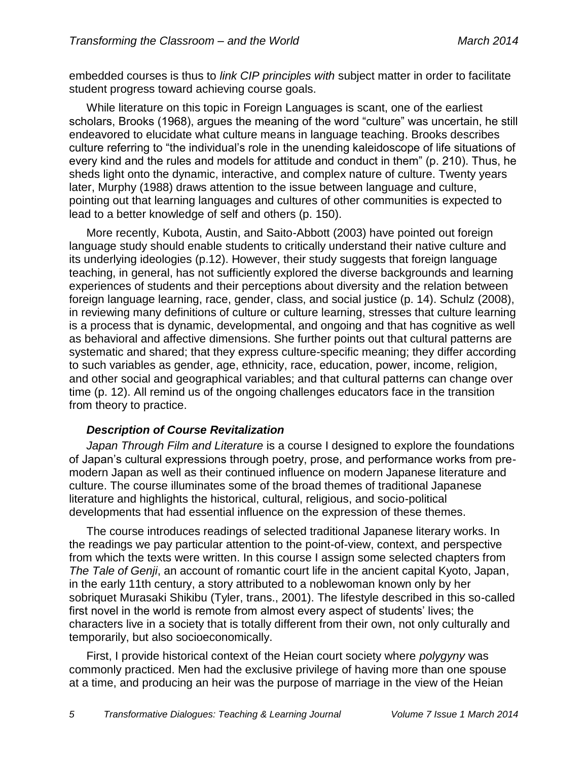embedded courses is thus to *link CIP principles with* subject matter in order to facilitate student progress toward achieving course goals.

While literature on this topic in Foreign Languages is scant, one of the earliest scholars, Brooks (1968), argues the meaning of the word "culture" was uncertain, he still endeavored to elucidate what culture means in language teaching. Brooks describes culture referring to "the individual's role in the unending kaleidoscope of life situations of every kind and the rules and models for attitude and conduct in them" (p. 210). Thus, he sheds light onto the dynamic, interactive, and complex nature of culture. Twenty years later, Murphy (1988) draws attention to the issue between language and culture, pointing out that learning languages and cultures of other communities is expected to lead to a better knowledge of self and others (p. 150).

More recently, Kubota, Austin, and Saito-Abbott (2003) have pointed out foreign language study should enable students to critically understand their native culture and its underlying ideologies (p.12). However, their study suggests that foreign language teaching, in general, has not sufficiently explored the diverse backgrounds and learning experiences of students and their perceptions about diversity and the relation between foreign language learning, race, gender, class, and social justice (p. 14). Schulz (2008), in reviewing many definitions of culture or culture learning, stresses that culture learning is a process that is dynamic, developmental, and ongoing and that has cognitive as well as behavioral and affective dimensions. She further points out that cultural patterns are systematic and shared; that they express culture-specific meaning; they differ according to such variables as gender, age, ethnicity, race, education, power, income, religion, and other social and geographical variables; and that cultural patterns can change over time (p. 12). All remind us of the ongoing challenges educators face in the transition from theory to practice.

#### *Description of Course Revitalization*

*Japan Through Film and Literature* is a course I designed to explore the foundations of Japan's cultural expressions through poetry, prose, and performance works from premodern Japan as well as their continued influence on modern Japanese literature and culture. The course illuminates some of the broad themes of traditional Japanese literature and highlights the historical, cultural, religious, and socio-political developments that had essential influence on the expression of these themes.

The course introduces readings of selected traditional Japanese literary works. In the readings we pay particular attention to the point-of-view, context, and perspective from which the texts were written. In this course I assign some selected chapters from *The Tale of Genji*, an account of romantic court life in the ancient capital Kyoto, Japan, in the early 11th century, a story attributed to a noblewoman known only by her sobriquet Murasaki Shikibu (Tyler, trans., 2001). The lifestyle described in this so-called first novel in the world is remote from almost every aspect of students' lives; the characters live in a society that is totally different from their own, not only culturally and temporarily, but also socioeconomically.

First, I provide historical context of the Heian court society where *polygyny* was commonly practiced. Men had the exclusive privilege of having more than one spouse at a time, and producing an heir was the purpose of marriage in the view of the Heian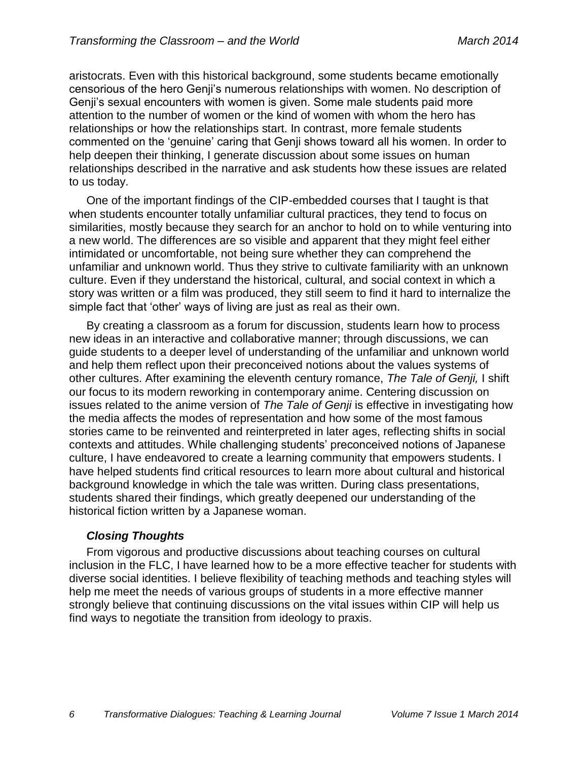aristocrats. Even with this historical background, some students became emotionally censorious of the hero Genji's numerous relationships with women. No description of Genji's sexual encounters with women is given. Some male students paid more attention to the number of women or the kind of women with whom the hero has relationships or how the relationships start. In contrast, more female students commented on the 'genuine' caring that Genji shows toward all his women. In order to help deepen their thinking, I generate discussion about some issues on human relationships described in the narrative and ask students how these issues are related to us today.

One of the important findings of the CIP-embedded courses that I taught is that when students encounter totally unfamiliar cultural practices, they tend to focus on similarities, mostly because they search for an anchor to hold on to while venturing into a new world. The differences are so visible and apparent that they might feel either intimidated or uncomfortable, not being sure whether they can comprehend the unfamiliar and unknown world. Thus they strive to cultivate familiarity with an unknown culture. Even if they understand the historical, cultural, and social context in which a story was written or a film was produced, they still seem to find it hard to internalize the simple fact that 'other' ways of living are just as real as their own.

By creating a classroom as a forum for discussion, students learn how to process new ideas in an interactive and collaborative manner; through discussions, we can guide students to a deeper level of understanding of the unfamiliar and unknown world and help them reflect upon their preconceived notions about the values systems of other cultures. After examining the eleventh century romance, *The Tale of Genji,* I shift our focus to its modern reworking in contemporary anime. Centering discussion on issues related to the anime version of *The Tale of Genji* is effective in investigating how the media affects the modes of representation and how some of the most famous stories came to be reinvented and reinterpreted in later ages, reflecting shifts in social contexts and attitudes. While challenging students' preconceived notions of Japanese culture, I have endeavored to create a learning community that empowers students. I have helped students find critical resources to learn more about cultural and historical background knowledge in which the tale was written. During class presentations, students shared their findings, which greatly deepened our understanding of the historical fiction written by a Japanese woman.

#### *Closing Thoughts*

From vigorous and productive discussions about teaching courses on cultural inclusion in the FLC, I have learned how to be a more effective teacher for students with diverse social identities. I believe flexibility of teaching methods and teaching styles will help me meet the needs of various groups of students in a more effective manner strongly believe that continuing discussions on the vital issues within CIP will help us find ways to negotiate the transition from ideology to praxis.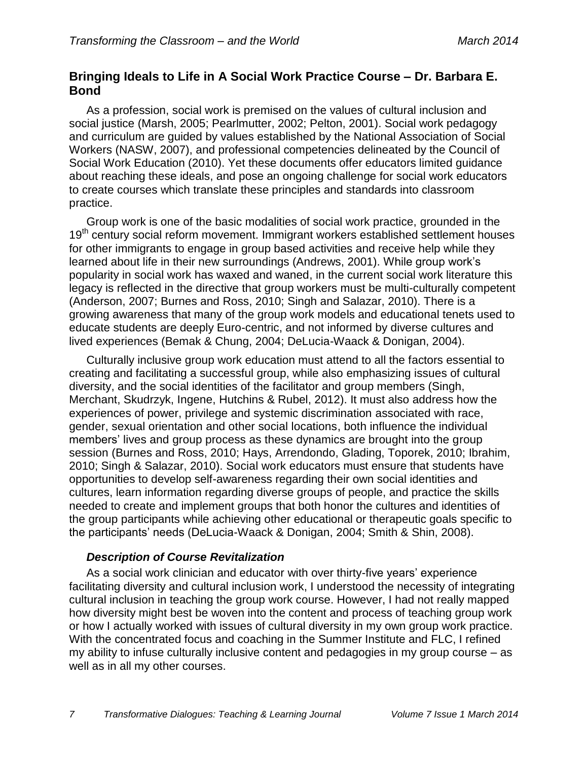#### **Bringing Ideals to Life in A Social Work Practice Course – Dr. Barbara E. Bond**

As a profession, social work is premised on the values of cultural inclusion and social justice (Marsh, 2005; Pearlmutter, 2002; Pelton, 2001). Social work pedagogy and curriculum are guided by values established by the National Association of Social Workers (NASW, 2007), and professional competencies delineated by the Council of Social Work Education (2010). Yet these documents offer educators limited guidance about reaching these ideals, and pose an ongoing challenge for social work educators to create courses which translate these principles and standards into classroom practice.

Group work is one of the basic modalities of social work practice, grounded in the 19<sup>th</sup> century social reform movement. Immigrant workers established settlement houses for other immigrants to engage in group based activities and receive help while they learned about life in their new surroundings (Andrews, 2001). While group work's popularity in social work has waxed and waned, in the current social work literature this legacy is reflected in the directive that group workers must be multi-culturally competent (Anderson, 2007; Burnes and Ross, 2010; Singh and Salazar, 2010). There is a growing awareness that many of the group work models and educational tenets used to educate students are deeply Euro-centric, and not informed by diverse cultures and lived experiences (Bemak & Chung, 2004; DeLucia-Waack & Donigan, 2004).

Culturally inclusive group work education must attend to all the factors essential to creating and facilitating a successful group, while also emphasizing issues of cultural diversity, and the social identities of the facilitator and group members (Singh, Merchant, Skudrzyk, Ingene, Hutchins & Rubel, 2012). It must also address how the experiences of power, privilege and systemic discrimination associated with race, gender, sexual orientation and other social locations, both influence the individual members' lives and group process as these dynamics are brought into the group session (Burnes and Ross, 2010; Hays, Arrendondo, Glading, Toporek, 2010; Ibrahim, 2010; Singh & Salazar, 2010). Social work educators must ensure that students have opportunities to develop self-awareness regarding their own social identities and cultures, learn information regarding diverse groups of people, and practice the skills needed to create and implement groups that both honor the cultures and identities of the group participants while achieving other educational or therapeutic goals specific to the participants' needs (DeLucia-Waack & Donigan, 2004; Smith & Shin, 2008).

#### *Description of Course Revitalization*

As a social work clinician and educator with over thirty-five years' experience facilitating diversity and cultural inclusion work, I understood the necessity of integrating cultural inclusion in teaching the group work course. However, I had not really mapped how diversity might best be woven into the content and process of teaching group work or how I actually worked with issues of cultural diversity in my own group work practice. With the concentrated focus and coaching in the Summer Institute and FLC, I refined my ability to infuse culturally inclusive content and pedagogies in my group course – as well as in all my other courses.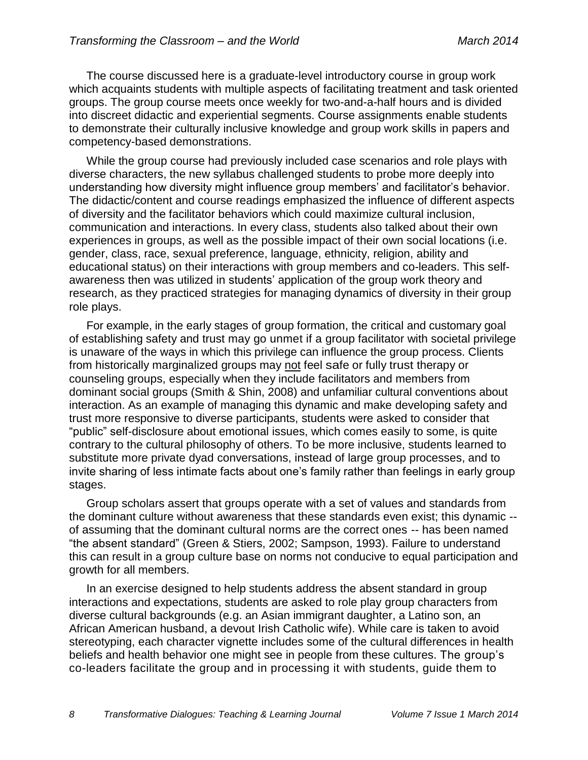The course discussed here is a graduate-level introductory course in group work which acquaints students with multiple aspects of facilitating treatment and task oriented groups. The group course meets once weekly for two-and-a-half hours and is divided into discreet didactic and experiential segments. Course assignments enable students to demonstrate their culturally inclusive knowledge and group work skills in papers and competency-based demonstrations.

While the group course had previously included case scenarios and role plays with diverse characters, the new syllabus challenged students to probe more deeply into understanding how diversity might influence group members' and facilitator's behavior. The didactic/content and course readings emphasized the influence of different aspects of diversity and the facilitator behaviors which could maximize cultural inclusion, communication and interactions. In every class, students also talked about their own experiences in groups, as well as the possible impact of their own social locations (i.e. gender, class, race, sexual preference, language, ethnicity, religion, ability and educational status) on their interactions with group members and co-leaders. This selfawareness then was utilized in students' application of the group work theory and research, as they practiced strategies for managing dynamics of diversity in their group role plays.

For example, in the early stages of group formation, the critical and customary goal of establishing safety and trust may go unmet if a group facilitator with societal privilege is unaware of the ways in which this privilege can influence the group process. Clients from historically marginalized groups may not feel safe or fully trust therapy or counseling groups, especially when they include facilitators and members from dominant social groups (Smith & Shin, 2008) and unfamiliar cultural conventions about interaction. As an example of managing this dynamic and make developing safety and trust more responsive to diverse participants, students were asked to consider that "public" self-disclosure about emotional issues, which comes easily to some, is quite contrary to the cultural philosophy of others. To be more inclusive, students learned to substitute more private dyad conversations, instead of large group processes, and to invite sharing of less intimate facts about one's family rather than feelings in early group stages.

Group scholars assert that groups operate with a set of values and standards from the dominant culture without awareness that these standards even exist; this dynamic - of assuming that the dominant cultural norms are the correct ones -- has been named "the absent standard" (Green & Stiers, 2002; Sampson, 1993). Failure to understand this can result in a group culture base on norms not conducive to equal participation and growth for all members.

In an exercise designed to help students address the absent standard in group interactions and expectations, students are asked to role play group characters from diverse cultural backgrounds (e.g. an Asian immigrant daughter, a Latino son, an African American husband, a devout Irish Catholic wife). While care is taken to avoid stereotyping, each character vignette includes some of the cultural differences in health beliefs and health behavior one might see in people from these cultures. The group's co-leaders facilitate the group and in processing it with students, guide them to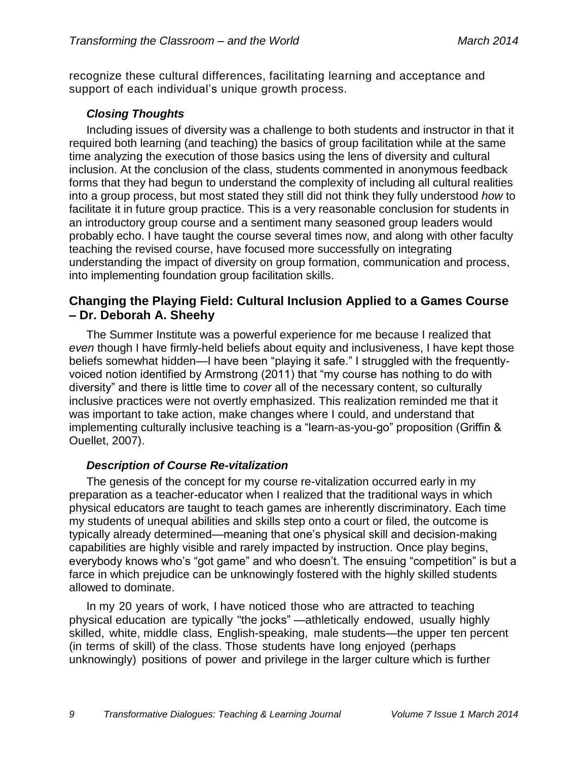recognize these cultural differences, facilitating learning and acceptance and support of each individual's unique growth process.

#### *Closing Thoughts*

Including issues of diversity was a challenge to both students and instructor in that it required both learning (and teaching) the basics of group facilitation while at the same time analyzing the execution of those basics using the lens of diversity and cultural inclusion. At the conclusion of the class, students commented in anonymous feedback forms that they had begun to understand the complexity of including all cultural realities into a group process, but most stated they still did not think they fully understood *how* to facilitate it in future group practice. This is a very reasonable conclusion for students in an introductory group course and a sentiment many seasoned group leaders would probably echo. I have taught the course several times now, and along with other faculty teaching the revised course, have focused more successfully on integrating understanding the impact of diversity on group formation, communication and process, into implementing foundation group facilitation skills.

#### **Changing the Playing Field: Cultural Inclusion Applied to a Games Course – Dr. Deborah A. Sheehy**

The Summer Institute was a powerful experience for me because I realized that *even* though I have firmly-held beliefs about equity and inclusiveness, I have kept those beliefs somewhat hidden—I have been "playing it safe." I struggled with the frequentlyvoiced notion identified by Armstrong (2011) that "my course has nothing to do with diversity" and there is little time to *cover* all of the necessary content, so culturally inclusive practices were not overtly emphasized. This realization reminded me that it was important to take action, make changes where I could, and understand that implementing culturally inclusive teaching is a "learn-as-you-go" proposition (Griffin & Ouellet, 2007).

#### *Description of Course Re-vitalization*

The genesis of the concept for my course re-vitalization occurred early in my preparation as a teacher-educator when I realized that the traditional ways in which physical educators are taught to teach games are inherently discriminatory. Each time my students of unequal abilities and skills step onto a court or filed, the outcome is typically already determined—meaning that one's physical skill and decision-making capabilities are highly visible and rarely impacted by instruction. Once play begins, everybody knows who's "got game" and who doesn't. The ensuing "competition" is but a farce in which prejudice can be unknowingly fostered with the highly skilled students allowed to dominate.

In my 20 years of work, I have noticed those who are attracted to teaching physical education are typically "the jocks" —athletically endowed, usually highly skilled, white, middle class, English-speaking, male students—the upper ten percent (in terms of skill) of the class. Those students have long enjoyed (perhaps unknowingly) positions of power and privilege in the larger culture which is further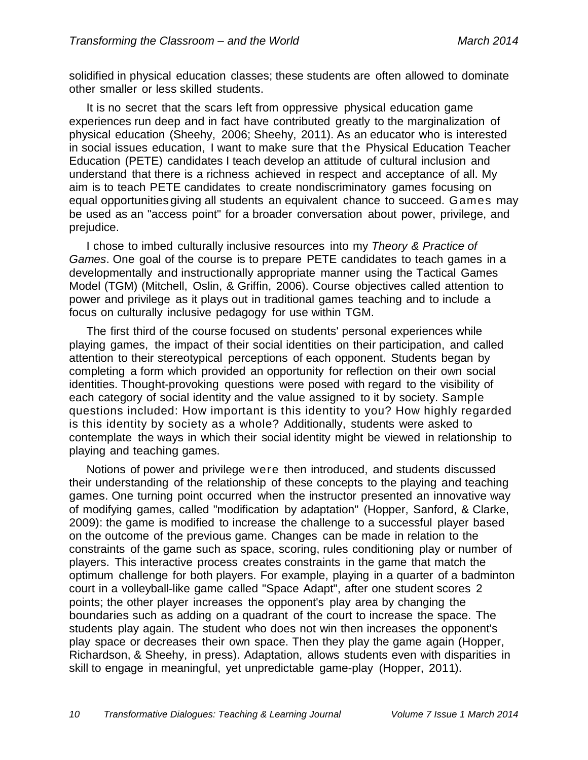solidified in physical education classes; these students are often allowed to dominate other smaller or less skilled students.

It is no secret that the scars left from oppressive physical education game experiences run deep and in fact have contributed greatly to the marginalization of physical education (Sheehy, 2006; Sheehy, 2011). As an educator who is interested in social issues education, I want to make sure that the Physical Education Teacher Education (PETE) candidates I teach develop an attitude of cultural inclusion and understand that there is a richness achieved in respect and acceptance of all. My aim is to teach PETE candidates to create nondiscriminatory games focusing on equal opportunities giving all students an equivalent chance to succeed. Games may be used as an "access point" for a broader conversation about power, privilege, and prejudice.

I chose to imbed culturally inclusive resources into my *Theory & Practice of Games*. One goal of the course is to prepare PETE candidates to teach games in a developmentally and instructionally appropriate manner using the Tactical Games Model (TGM) (Mitchell, Oslin, & Griffin, 2006). Course objectives called attention to power and privilege as it plays out in traditional games teaching and to include a focus on culturally inclusive pedagogy for use within TGM.

The first third of the course focused on students' personal experiences while playing games, the impact of their social identities on their participation, and called attention to their stereotypical perceptions of each opponent. Students began by completing a form which provided an opportunity for reflection on their own social identities. Thought-provoking questions were posed with regard to the visibility of each category of social identity and the value assigned to it by society. Sample questions included: How important is this identity to you? How highly regarded is this identity by society as a whole? Additionally, students were asked to contemplate the ways in which their social identity might be viewed in relationship to playing and teaching games.

Notions of power and privilege were then introduced, and students discussed their understanding of the relationship of these concepts to the playing and teaching games. One turning point occurred when the instructor presented an innovative way of modifying games, called "modification by adaptation" (Hopper, Sanford, & Clarke, 2009): the game is modified to increase the challenge to a successful player based on the outcome of the previous game. Changes can be made in relation to the constraints of the game such as space, scoring, rules conditioning play or number of players. This interactive process creates constraints in the game that match the optimum challenge for both players. For example, playing in a quarter of a badminton court in a volleyball-like game called "Space Adapt", after one student scores 2 points; the other player increases the opponent's play area by changing the boundaries such as adding on a quadrant of the court to increase the space. The students play again. The student who does not win then increases the opponent's play space or decreases their own space. Then they play the game again (Hopper, Richardson, & Sheehy, in press). Adaptation, allows students even with disparities in skill to engage in meaningful, yet unpredictable game-play (Hopper, 2011).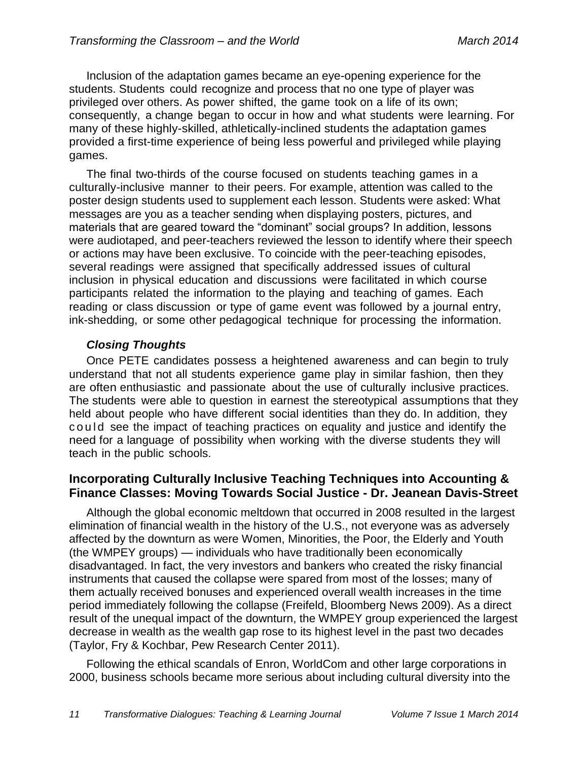Inclusion of the adaptation games became an eye-opening experience for the students. Students could recognize and process that no one type of player was privileged over others. As power shifted, the game took on a life of its own; consequently, a change began to occur in how and what students were learning. For many of these highly-skilled, athletically-inclined students the adaptation games provided a first-time experience of being less powerful and privileged while playing games.

The final two-thirds of the course focused on students teaching games in a culturally-inclusive manner to their peers. For example, attention was called to the poster design students used to supplement each lesson. Students were asked: What messages are you as a teacher sending when displaying posters, pictures, and materials that are geared toward the "dominant" social groups? In addition, lessons were audiotaped, and peer-teachers reviewed the lesson to identify where their speech or actions may have been exclusive. To coincide with the peer-teaching episodes, several readings were assigned that specifically addressed issues of cultural inclusion in physical education and discussions were facilitated in which course participants related the information to the playing and teaching of games. Each reading or class discussion or type of game event was followed by a journal entry, ink-shedding, or some other pedagogical technique for processing the information.

#### *Closing Thoughts*

Once PETE candidates possess a heightened awareness and can begin to truly understand that not all students experience game play in similar fashion, then they are often enthusiastic and passionate about the use of culturally inclusive practices. The students were able to question in earnest the stereotypical assumptions that they held about people who have different social identities than they do. In addition, they c o u l d see the impact of teaching practices on equality and justice and identify the need for a language of possibility when working with the diverse students they will teach in the public schools.

#### **Incorporating Culturally Inclusive Teaching Techniques into Accounting & Finance Classes: Moving Towards Social Justice - Dr. Jeanean Davis-Street**

Although the global economic meltdown that occurred in 2008 resulted in the largest elimination of financial wealth in the history of the U.S., not everyone was as adversely affected by the downturn as were Women, Minorities, the Poor, the Elderly and Youth (the WMPEY groups) — individuals who have traditionally been economically disadvantaged. In fact, the very investors and bankers who created the risky financial instruments that caused the collapse were spared from most of the losses; many of them actually received bonuses and experienced overall wealth increases in the time period immediately following the collapse (Freifeld, Bloomberg News 2009). As a direct result of the unequal impact of the downturn, the WMPEY group experienced the largest decrease in wealth as the wealth gap rose to its highest level in the past two decades (Taylor, Fry & Kochbar, Pew Research Center 2011).

Following the ethical scandals of Enron, WorldCom and other large corporations in 2000, business schools became more serious about including cultural diversity into the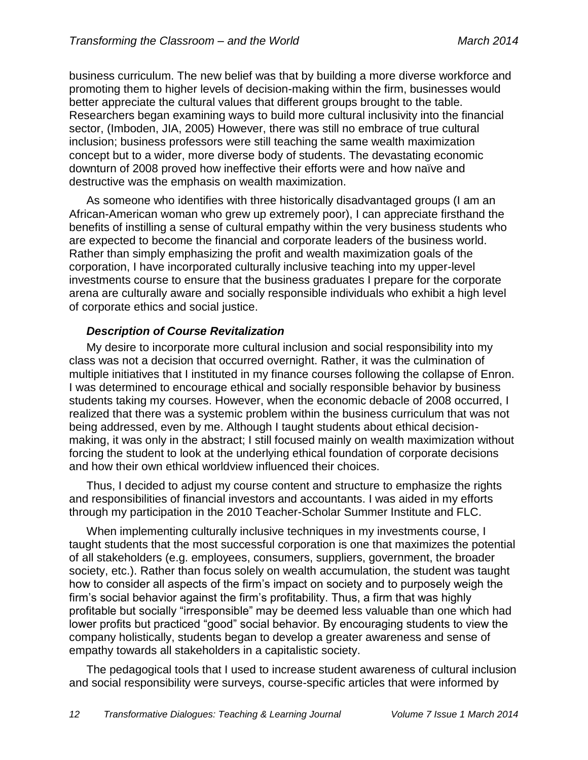business curriculum. The new belief was that by building a more diverse workforce and promoting them to higher levels of decision-making within the firm, businesses would better appreciate the cultural values that different groups brought to the table. Researchers began examining ways to build more cultural inclusivity into the financial sector, (Imboden, JIA, 2005) However, there was still no embrace of true cultural inclusion; business professors were still teaching the same wealth maximization concept but to a wider, more diverse body of students. The devastating economic downturn of 2008 proved how ineffective their efforts were and how naïve and destructive was the emphasis on wealth maximization.

As someone who identifies with three historically disadvantaged groups (I am an African-American woman who grew up extremely poor), I can appreciate firsthand the benefits of instilling a sense of cultural empathy within the very business students who are expected to become the financial and corporate leaders of the business world. Rather than simply emphasizing the profit and wealth maximization goals of the corporation, I have incorporated culturally inclusive teaching into my upper-level investments course to ensure that the business graduates I prepare for the corporate arena are culturally aware and socially responsible individuals who exhibit a high level of corporate ethics and social justice.

#### *Description of Course Revitalization*

My desire to incorporate more cultural inclusion and social responsibility into my class was not a decision that occurred overnight. Rather, it was the culmination of multiple initiatives that I instituted in my finance courses following the collapse of Enron. I was determined to encourage ethical and socially responsible behavior by business students taking my courses. However, when the economic debacle of 2008 occurred, I realized that there was a systemic problem within the business curriculum that was not being addressed, even by me. Although I taught students about ethical decisionmaking, it was only in the abstract; I still focused mainly on wealth maximization without forcing the student to look at the underlying ethical foundation of corporate decisions and how their own ethical worldview influenced their choices.

Thus, I decided to adjust my course content and structure to emphasize the rights and responsibilities of financial investors and accountants. I was aided in my efforts through my participation in the 2010 Teacher-Scholar Summer Institute and FLC.

When implementing culturally inclusive techniques in my investments course, I taught students that the most successful corporation is one that maximizes the potential of all stakeholders (e.g. employees, consumers, suppliers, government, the broader society, etc.). Rather than focus solely on wealth accumulation, the student was taught how to consider all aspects of the firm's impact on society and to purposely weigh the firm's social behavior against the firm's profitability. Thus, a firm that was highly profitable but socially "irresponsible" may be deemed less valuable than one which had lower profits but practiced "good" social behavior. By encouraging students to view the company holistically, students began to develop a greater awareness and sense of empathy towards all stakeholders in a capitalistic society.

The pedagogical tools that I used to increase student awareness of cultural inclusion and social responsibility were surveys, course-specific articles that were informed by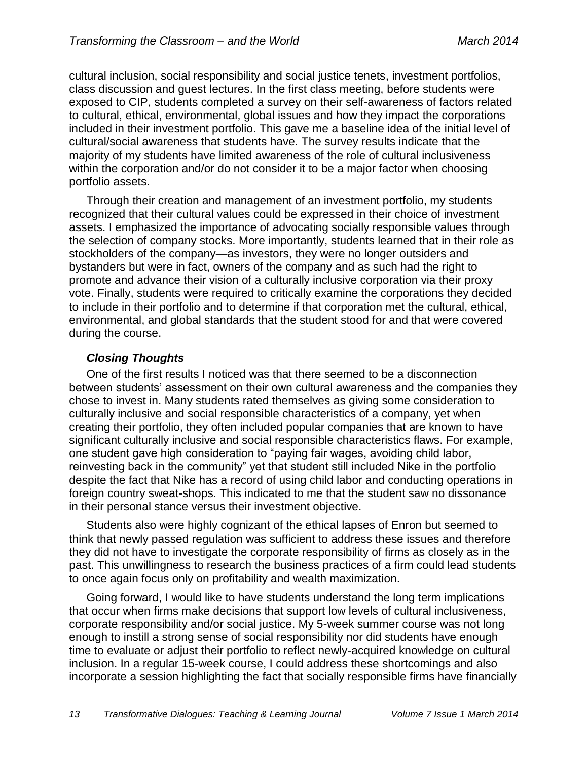cultural inclusion, social responsibility and social justice tenets, investment portfolios, class discussion and guest lectures. In the first class meeting, before students were exposed to CIP, students completed a survey on their self-awareness of factors related to cultural, ethical, environmental, global issues and how they impact the corporations included in their investment portfolio. This gave me a baseline idea of the initial level of cultural/social awareness that students have. The survey results indicate that the majority of my students have limited awareness of the role of cultural inclusiveness within the corporation and/or do not consider it to be a major factor when choosing portfolio assets.

Through their creation and management of an investment portfolio, my students recognized that their cultural values could be expressed in their choice of investment assets. I emphasized the importance of advocating socially responsible values through the selection of company stocks. More importantly, students learned that in their role as stockholders of the company—as investors, they were no longer outsiders and bystanders but were in fact, owners of the company and as such had the right to promote and advance their vision of a culturally inclusive corporation via their proxy vote. Finally, students were required to critically examine the corporations they decided to include in their portfolio and to determine if that corporation met the cultural, ethical, environmental, and global standards that the student stood for and that were covered during the course.

#### *Closing Thoughts*

One of the first results I noticed was that there seemed to be a disconnection between students' assessment on their own cultural awareness and the companies they chose to invest in. Many students rated themselves as giving some consideration to culturally inclusive and social responsible characteristics of a company, yet when creating their portfolio, they often included popular companies that are known to have significant culturally inclusive and social responsible characteristics flaws. For example, one student gave high consideration to "paying fair wages, avoiding child labor, reinvesting back in the community" yet that student still included Nike in the portfolio despite the fact that Nike has a record of using child labor and conducting operations in foreign country sweat-shops. This indicated to me that the student saw no dissonance in their personal stance versus their investment objective.

Students also were highly cognizant of the ethical lapses of Enron but seemed to think that newly passed regulation was sufficient to address these issues and therefore they did not have to investigate the corporate responsibility of firms as closely as in the past. This unwillingness to research the business practices of a firm could lead students to once again focus only on profitability and wealth maximization.

Going forward, I would like to have students understand the long term implications that occur when firms make decisions that support low levels of cultural inclusiveness, corporate responsibility and/or social justice. My 5-week summer course was not long enough to instill a strong sense of social responsibility nor did students have enough time to evaluate or adjust their portfolio to reflect newly-acquired knowledge on cultural inclusion. In a regular 15-week course, I could address these shortcomings and also incorporate a session highlighting the fact that socially responsible firms have financially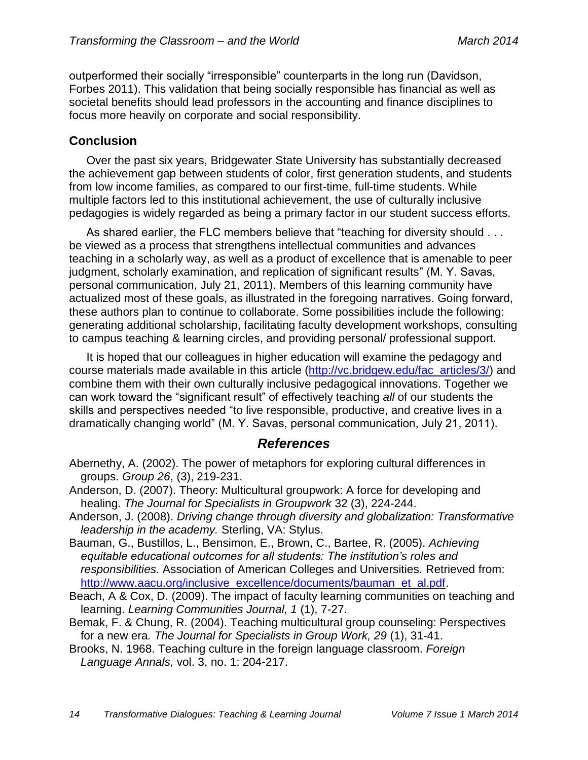outperformed their socially "irresponsible" counterparts in the long run (Davidson, Forbes 2011). This validation that being socially responsible has financial as well as societal benefits should lead professors in the accounting and finance disciplines to focus more heavily on corporate and social responsibility.

## **Conclusion**

Over the past six years, Bridgewater State University has substantially decreased the achievement gap between students of color, first generation students, and students from low income families, as compared to our first-time, full-time students. While multiple factors led to this institutional achievement, the use of culturally inclusive pedagogies is widely regarded as being a primary factor in our student success efforts.

As shared earlier, the FLC members believe that "teaching for diversity should . . . be viewed as a process that strengthens intellectual communities and advances teaching in a scholarly way, as well as a product of excellence that is amenable to peer judgment, scholarly examination, and replication of significant results" (M. Y. Savas, personal communication, July 21, 2011). Members of this learning community have actualized most of these goals, as illustrated in the foregoing narratives. Going forward, these authors plan to continue to collaborate. Some possibilities include the following: generating additional scholarship, facilitating faculty development workshops, consulting to campus teaching & learning circles, and providing personal/ professional support.

It is hoped that our colleagues in higher education will examine the pedagogy and course materials made available in this article [\(http://vc.bridgew.edu/fac\\_articles/3/\)](http://vc.bridgew.edu/fac_articles/3/) and combine them with their own culturally inclusive pedagogical innovations. Together we can work toward the "significant result" of effectively teaching *all* of our students the skills and perspectives needed "to live responsible, productive, and creative lives in a dramatically changing world" (M. Y. Savas, personal communication, July 21, 2011).

#### *References*

- Abernethy, A. (2002). The power of metaphors for exploring cultural differences in groups. *Group 26*, (3), 219-231.
- Anderson, D. (2007). Theory: Multicultural groupwork: A force for developing and healing. *The Journal for Specialists in Groupwork* 32 (3), 224-244.
- Anderson, J. (2008). *Driving change through diversity and globalization: Transformative leadership in the academy.* Sterling, VA: Stylus.
- Bauman, G., Bustillos, L., Bensimon, E., Brown, C., Bartee, R. (2005). *Achieving equitable educational outcomes for all students: The institution's roles and responsibilities.* Association of American Colleges and Universities. Retrieved from: [http://www.aacu.org/inclusive\\_excellence/documents/bauman\\_et\\_al.pdf.](http://www.aacu.org/inclusive_excellence/documents/bauman_et_al.pdf)
- Beach, A & Cox, D. (2009). The impact of faculty learning communities on teaching and learning. *Learning Communities Journal, 1* (1), 7-27.
- Bemak, F. & Chung, R. (2004). Teaching multicultural group counseling: Perspectives for a new era*. The Journal for Specialists in Group Work, 29* (1), 31-41.
- Brooks, N. 1968. Teaching culture in the foreign language classroom. *Foreign Language Annals,* vol. 3, no. 1: 204-217.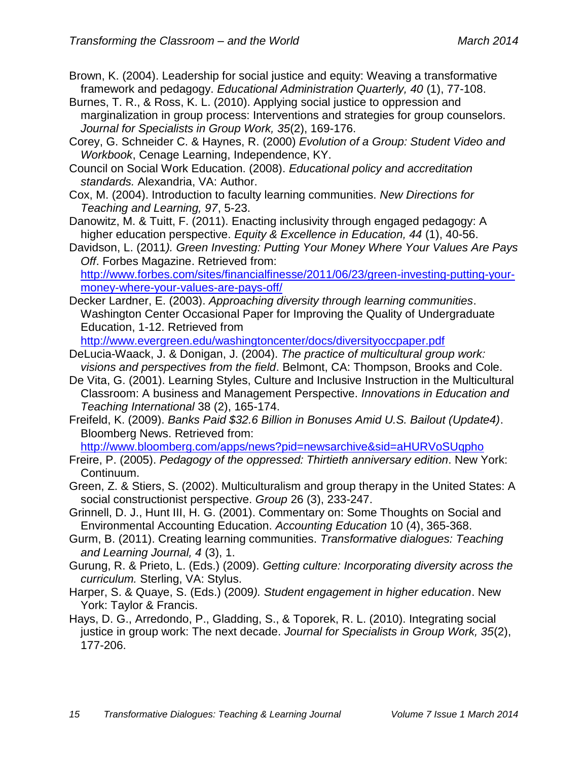- Brown, K. (2004). Leadership for social justice and equity: Weaving a transformative framework and pedagogy. *Educational Administration Quarterly, 40* (1), 77-108.
- Burnes, T. R., & Ross, K. L. (2010). Applying social justice to oppression and marginalization in group process: Interventions and strategies for group counselors. *Journal for Specialists in Group Work, 35*(2), 169-176.
- Corey, G. Schneider C. & Haynes, R. (2000) *Evolution of a Group: Student Video and Workbook*, Cenage Learning, Independence, KY.
- Council on Social Work Education. (2008). *Educational policy and accreditation standards.* Alexandria, VA: Author.
- Cox, M. (2004). Introduction to faculty learning communities. *New Directions for Teaching and Learning, 97*, 5-23.
- Danowitz, M. & Tuitt, F. (2011). Enacting inclusivity through engaged pedagogy: A higher education perspective. *Equity & Excellence in Education, 44* (1), 40-56.
- Davidson, L. (2011*). Green Investing: Putting Your Money Where Your Values Are Pays Off*. Forbes Magazine. Retrieved from: [http://www.forbes.com/sites/financialfinesse/2011/06/23/green-investing-putting-your](http://www.forbes.com/sites/financialfinesse/2011/06/23/green-investing-putting-your-money-where-your-values-are-pays-off/)[money-where-your-values-are-pays-off/](http://www.forbes.com/sites/financialfinesse/2011/06/23/green-investing-putting-your-money-where-your-values-are-pays-off/)
- Decker Lardner, E. (2003). *Approaching diversity through learning communities*. Washington Center Occasional Paper for Improving the Quality of Undergraduate Education, 1-12. Retrieved from

<http://www.evergreen.edu/washingtoncenter/docs/diversityoccpaper.pdf>

- DeLucia-Waack, J. & Donigan, J. (2004). *The practice of multicultural group work: visions and perspectives from the field*. Belmont, CA: Thompson, Brooks and Cole.
- De Vita, G. (2001). Learning Styles, Culture and Inclusive Instruction in the Multicultural Classroom: A business and Management Perspective. *Innovations in Education and Teaching International* 38 (2), 165-174.
- Freifeld, K. (2009). *Banks Paid \$32.6 Billion in Bonuses Amid U.S. Bailout (Update4)*. Bloomberg News. Retrieved from:

<http://www.bloomberg.com/apps/news?pid=newsarchive&sid=aHURVoSUqpho>

- Freire, P. (2005). *Pedagogy of the oppressed: Thirtieth anniversary edition*. New York: Continuum.
- Green, Z. & Stiers, S. (2002). Multiculturalism and group therapy in the United States: A social constructionist perspective. *Group* 26 (3), 233-247.
- Grinnell, D. J., Hunt III, H. G. (2001). Commentary on: Some Thoughts on Social and Environmental Accounting Education. *Accounting Education* 10 (4), 365-368.
- Gurm, B. (2011). Creating learning communities. *Transformative dialogues: Teaching and Learning Journal, 4* (3), 1.
- Gurung, R. & Prieto, L. (Eds.) (2009). *Getting culture: Incorporating diversity across the curriculum.* Sterling, VA: Stylus.
- Harper, S. & Quaye, S. (Eds.) (2009*). Student engagement in higher education*. New York: Taylor & Francis.
- Hays, D. G., Arredondo, P., Gladding, S., & Toporek, R. L. (2010). Integrating social justice in group work: The next decade. *Journal for Specialists in Group Work, 35*(2), 177-206.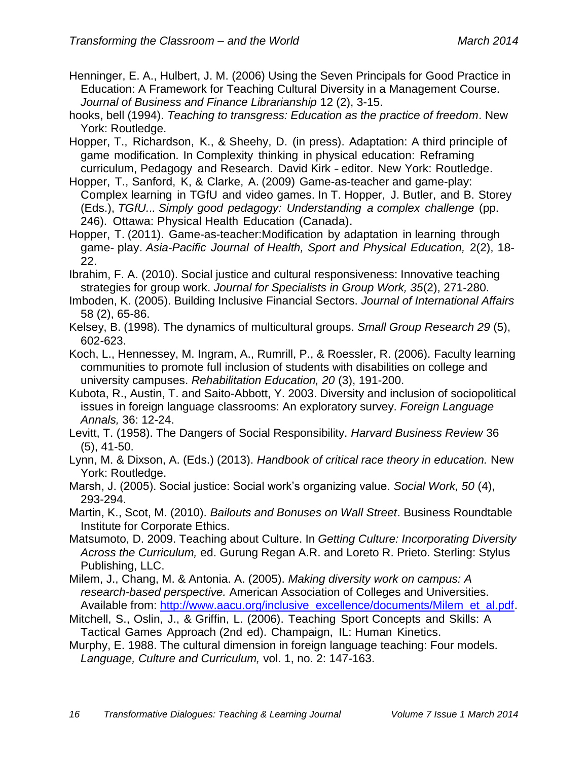- Henninger, E. A., Hulbert, J. M. (2006) Using the Seven Principals for Good Practice in Education: A Framework for Teaching Cultural Diversity in a Management Course. *Journal of Business and Finance Librarianship* 12 (2), 3-15.
- hooks, bell (1994). *Teaching to transgress: Education as the practice of freedom*. New York: Routledge.
- Hopper, T., Richardson, K., & Sheehy, D. (in press). Adaptation: A third principle of game modification. In Complexity thinking in physical education: Reframing curriculum, Pedagogy and Research. David Kirk - editor. New York: Routledge.
- Hopper, T., Sanford, K, & Clarke, A. (2009) Game-as-teacher and game-play: Complex learning in TGfU and video games. In T. Hopper, J. Butler, and B. Storey (Eds.), *TGfU... Simply good pedagogy: Understanding a complex challenge* (pp. 246). Ottawa: Physical Health Education (Canada).
- Hopper, T. (2011). Game-as-teacher:Modification by adaptation in learning through game- play. *Asia-Pacific Journal of Health, Sport and Physical Education,* 2(2), 18- 22.
- Ibrahim, F. A. (2010). Social justice and cultural responsiveness: Innovative teaching strategies for group work. *Journal for Specialists in Group Work, 35*(2), 271-280.
- Imboden, K. (2005). Building Inclusive Financial Sectors. *Journal of International Affairs*  58 (2), 65-86.
- Kelsey, B. (1998). The dynamics of multicultural groups. *Small Group Research 29* (5), 602-623.
- Koch, L., Hennessey, M. Ingram, A., Rumrill, P., & Roessler, R. (2006). Faculty learning communities to promote full inclusion of students with disabilities on college and university campuses. *Rehabilitation Education, 20* (3), 191-200.
- Kubota, R., Austin, T. and Saito-Abbott, Y. 2003. Diversity and inclusion of sociopolitical issues in foreign language classrooms: An exploratory survey. *Foreign Language Annals,* 36: 12-24.
- Levitt, T. (1958). The Dangers of Social Responsibility. *Harvard Business Review* 36 (5), 41-50.
- Lynn, M. & Dixson, A. (Eds.) (2013). *Handbook of critical race theory in education.* New York: Routledge.
- Marsh, J. (2005). Social justice: Social work's organizing value. *Social Work, 50* (4), 293-294.
- Martin, K., Scot, M. (2010). *Bailouts and Bonuses on Wall Street*. Business Roundtable Institute for Corporate Ethics.
- Matsumoto, D. 2009. Teaching about Culture. In *Getting Culture: Incorporating Diversity Across the Curriculum,* ed. Gurung Regan A.R. and Loreto R. Prieto. Sterling: Stylus Publishing, LLC.
- Milem, J., Chang, M. & Antonia. A. (2005). *Making diversity work on campus: A research-based perspective.* American Association of Colleges and Universities. Available from: [http://www.aacu.org/inclusive\\_excellence/documents/Milem\\_et\\_al.pdf.](http://www.aacu.org/inclusive_excellence/documents/Milem_et_al.pdf)
- Mitchell, S., Oslin, J., & Griffin, L. (2006). Teaching Sport Concepts and Skills: A Tactical Games Approach (2nd ed). Champaign, IL: Human Kinetics.
- Murphy, E. 1988. The cultural dimension in foreign language teaching: Four models. *Language, Culture and Curriculum,* vol. 1, no. 2: 147-163.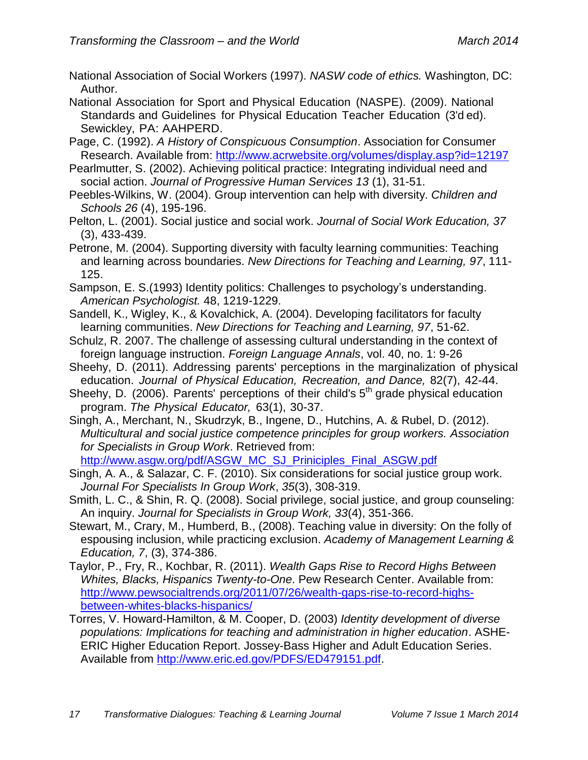National Association of Social Workers (1997). *NASW code of ethics.* Washington, DC: Author.

National Association for Sport and Physical Education (NASPE). (2009). National Standards and Guidelines for Physical Education Teacher Education (3'd ed). Sewickley, PA: AAHPERD.

- Page, C. (1992). *A History of Conspicuous Consumption*. Association for Consumer Research. Available from: <http://www.acrwebsite.org/volumes/display.asp?id=12197>
- Pearlmutter, S. (2002). Achieving political practice: Integrating individual need and social action. *Journal of Progressive Human Services 13* (1), 31-51.
- Peebles-Wilkins, W. (2004). Group intervention can help with diversity. *Children and Schools 26* (4), 195-196.
- Pelton, L. (2001). Social justice and social work. *Journal of Social Work Education, 37*  (3), 433-439.
- Petrone, M. (2004). Supporting diversity with faculty learning communities: Teaching and learning across boundaries. *New Directions for Teaching and Learning, 97*, 111- 125.
- Sampson, E. S.(1993) Identity politics: Challenges to psychology's understanding. *American Psychologist.* 48, 1219-1229.
- Sandell, K., Wigley, K., & Kovalchick, A. (2004). Developing facilitators for faculty learning communities. *New Directions for Teaching and Learning, 97*, 51-62.
- Schulz, R. 2007. The challenge of assessing cultural understanding in the context of foreign language instruction. *Foreign Language Annals*, vol. 40, no. 1: 9-26
- Sheehy, D. (2011). Addressing parents' perceptions in the marginalization of physical education. *Journal of Physical Education, Recreation, and Dance,* 82(7), 42-44.
- Sheehy, D. (2006). Parents' perceptions of their child's  $5<sup>th</sup>$  grade physical education program. *The Physical Educator,* 63(1), 30-37.
- Singh, A., Merchant, N., Skudrzyk, B., Ingene, D., Hutchins, A. & Rubel, D. (2012). *Multicultural and social justice competence principles for group workers. Association for Specialists in Group Work*. Retrieved from:

[http://www.asgw.org/pdf/ASGW\\_MC\\_SJ\\_Priniciples\\_Final\\_ASGW.pdf](http://www.asgw.org/pdf/ASGW_MC_SJ_Priniciples_Final_ASGW.pdf)

- Singh, A. A., & Salazar, C. F. (2010). Six considerations for social justice group work. *Journal For Specialists In Group Work*, *35*(3), 308-319.
- Smith, L. C., & Shin, R. Q. (2008). Social privilege, social justice, and group counseling: An inquiry. *Journal for Specialists in Group Work, 33*(4), 351-366.
- Stewart, M., Crary, M., Humberd, B., (2008). Teaching value in diversity: On the folly of espousing inclusion, while practicing exclusion. *Academy of Management Learning & Education, 7*, (3), 374-386.
- Taylor, P., Fry, R., Kochbar, R. (2011). *Wealth Gaps Rise to Record Highs Between Whites, Blacks, Hispanics Twenty-to-One*. Pew Research Center. Available from: [http://www.pewsocialtrends.org/2011/07/26/wealth-gaps-rise-to-record-highs](http://www.pewsocialtrends.org/2011/07/26/wealth-gaps-rise-to-record-highs-between-whites-blacks-hispanics/)[between-whites-blacks-hispanics/](http://www.pewsocialtrends.org/2011/07/26/wealth-gaps-rise-to-record-highs-between-whites-blacks-hispanics/)
- Torres, V. Howard-Hamilton, & M. Cooper, D. (2003) *Identity development of diverse populations: Implications for teaching and administration in higher education*. ASHE-ERIC Higher Education Report. Jossey-Bass Higher and Adult Education Series. Available from [http://www.eric.ed.gov/PDFS/ED479151.pdf.](http://www.eric.ed.gov/PDFS/ED479151.pdf)